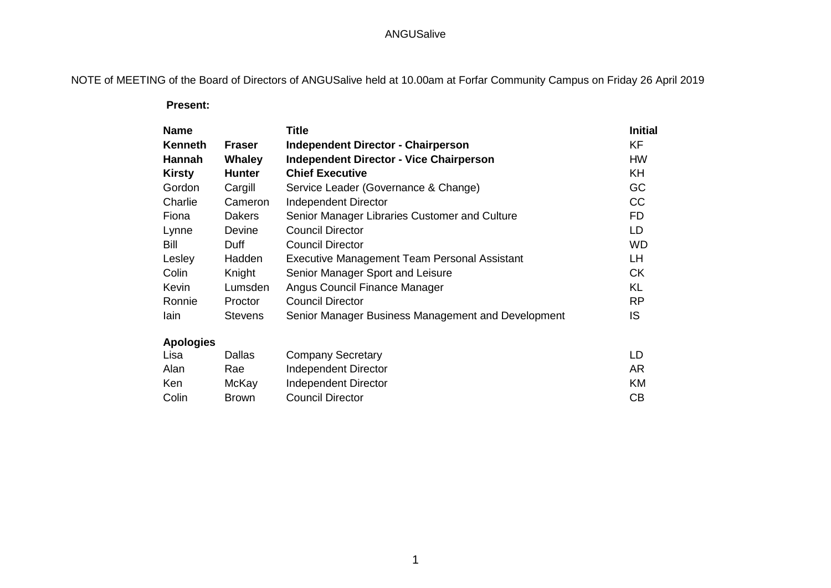NOTE of MEETING of the Board of Directors of ANGUSalive held at 10.00am at Forfar Community Campus on Friday 26 April 2019

 **Present:**

| <b>Name</b>      |                | Title                                              | <b>Initial</b> |
|------------------|----------------|----------------------------------------------------|----------------|
| <b>Kenneth</b>   | <b>Fraser</b>  | <b>Independent Director - Chairperson</b>          | <b>KF</b>      |
| Hannah           | <b>Whaley</b>  | <b>Independent Director - Vice Chairperson</b>     | <b>HW</b>      |
| <b>Kirsty</b>    | <b>Hunter</b>  | <b>Chief Executive</b>                             | KH             |
| Gordon           | Cargill        | Service Leader (Governance & Change)               | GC             |
| Charlie          | Cameron        | <b>Independent Director</b>                        | CC             |
| Fiona            | Dakers         | Senior Manager Libraries Customer and Culture      | <b>FD</b>      |
| Lynne            | Devine         | <b>Council Director</b>                            | LD             |
| Bill             | Duff.          | <b>Council Director</b>                            | <b>WD</b>      |
| Lesley           | Hadden         | Executive Management Team Personal Assistant       | LH             |
| Colin            | Knight         | Senior Manager Sport and Leisure                   | <b>CK</b>      |
| Kevin            | Lumsden        | Angus Council Finance Manager                      | <b>KL</b>      |
| Ronnie           | Proctor        | <b>Council Director</b>                            | <b>RP</b>      |
| lain             | <b>Stevens</b> | Senior Manager Business Management and Development | IS.            |
| <b>Apologies</b> |                |                                                    |                |
| Lisa             | Dallas         | <b>Company Secretary</b>                           | LD             |
| Alan             | Rae            | <b>Independent Director</b>                        | AR             |
| Ken              | McKay          | Independent Director                               | KM             |

Colin Brown Council Director CB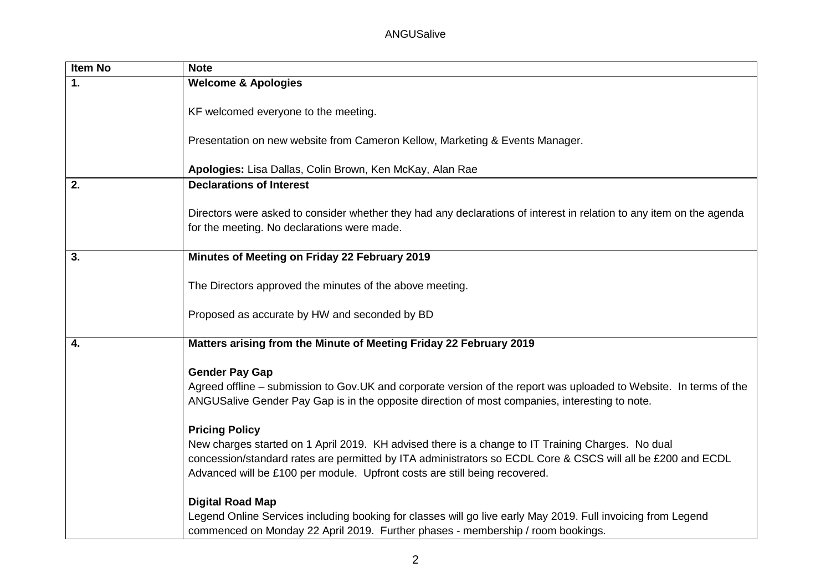| Item No | <b>Note</b>                                                                                                                                                                                                                                                                                                             |
|---------|-------------------------------------------------------------------------------------------------------------------------------------------------------------------------------------------------------------------------------------------------------------------------------------------------------------------------|
| 1.      | <b>Welcome &amp; Apologies</b>                                                                                                                                                                                                                                                                                          |
|         | KF welcomed everyone to the meeting.                                                                                                                                                                                                                                                                                    |
|         | Presentation on new website from Cameron Kellow, Marketing & Events Manager.                                                                                                                                                                                                                                            |
|         | Apologies: Lisa Dallas, Colin Brown, Ken McKay, Alan Rae                                                                                                                                                                                                                                                                |
| 2.      | <b>Declarations of Interest</b>                                                                                                                                                                                                                                                                                         |
|         | Directors were asked to consider whether they had any declarations of interest in relation to any item on the agenda<br>for the meeting. No declarations were made.                                                                                                                                                     |
| 3.      | Minutes of Meeting on Friday 22 February 2019                                                                                                                                                                                                                                                                           |
|         | The Directors approved the minutes of the above meeting.                                                                                                                                                                                                                                                                |
|         | Proposed as accurate by HW and seconded by BD                                                                                                                                                                                                                                                                           |
| 4.      | Matters arising from the Minute of Meeting Friday 22 February 2019                                                                                                                                                                                                                                                      |
|         | <b>Gender Pay Gap</b><br>Agreed offline – submission to Gov. UK and corporate version of the report was uploaded to Website. In terms of the<br>ANGUSalive Gender Pay Gap is in the opposite direction of most companies, interesting to note.                                                                          |
|         | <b>Pricing Policy</b><br>New charges started on 1 April 2019. KH advised there is a change to IT Training Charges. No dual<br>concession/standard rates are permitted by ITA administrators so ECDL Core & CSCS will all be £200 and ECDL<br>Advanced will be £100 per module. Upfront costs are still being recovered. |
|         | <b>Digital Road Map</b><br>Legend Online Services including booking for classes will go live early May 2019. Full invoicing from Legend<br>commenced on Monday 22 April 2019. Further phases - membership / room bookings.                                                                                              |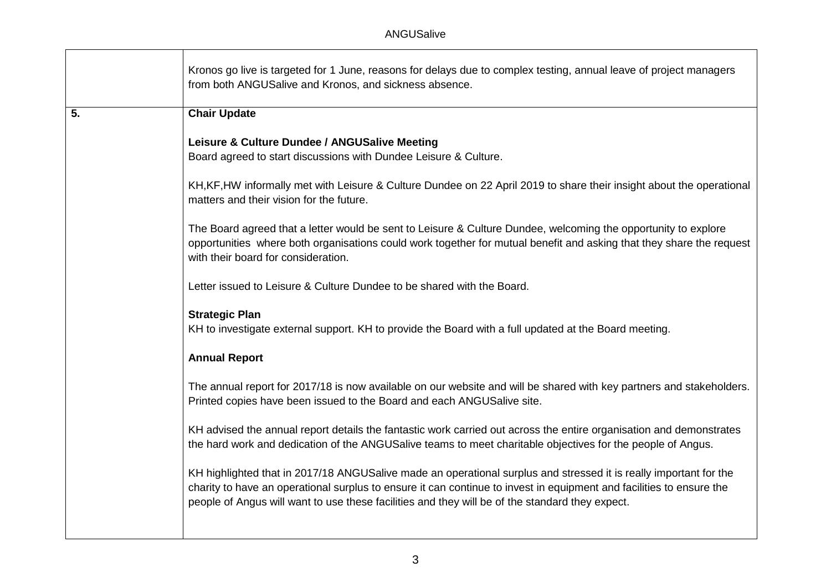|                  | Kronos go live is targeted for 1 June, reasons for delays due to complex testing, annual leave of project managers<br>from both ANGUSalive and Kronos, and sickness absence.                                                                                                                                                                 |
|------------------|----------------------------------------------------------------------------------------------------------------------------------------------------------------------------------------------------------------------------------------------------------------------------------------------------------------------------------------------|
| $\overline{5}$ . | <b>Chair Update</b>                                                                                                                                                                                                                                                                                                                          |
|                  | Leisure & Culture Dundee / ANGUSalive Meeting<br>Board agreed to start discussions with Dundee Leisure & Culture.                                                                                                                                                                                                                            |
|                  | KH, KF, HW informally met with Leisure & Culture Dundee on 22 April 2019 to share their insight about the operational<br>matters and their vision for the future.                                                                                                                                                                            |
|                  | The Board agreed that a letter would be sent to Leisure & Culture Dundee, welcoming the opportunity to explore<br>opportunities where both organisations could work together for mutual benefit and asking that they share the request<br>with their board for consideration.                                                                |
|                  | Letter issued to Leisure & Culture Dundee to be shared with the Board.                                                                                                                                                                                                                                                                       |
|                  | <b>Strategic Plan</b><br>KH to investigate external support. KH to provide the Board with a full updated at the Board meeting.                                                                                                                                                                                                               |
|                  | <b>Annual Report</b>                                                                                                                                                                                                                                                                                                                         |
|                  | The annual report for 2017/18 is now available on our website and will be shared with key partners and stakeholders.<br>Printed copies have been issued to the Board and each ANGUSalive site.                                                                                                                                               |
|                  | KH advised the annual report details the fantastic work carried out across the entire organisation and demonstrates<br>the hard work and dedication of the ANGUSalive teams to meet charitable objectives for the people of Angus.                                                                                                           |
|                  | KH highlighted that in 2017/18 ANGUSalive made an operational surplus and stressed it is really important for the<br>charity to have an operational surplus to ensure it can continue to invest in equipment and facilities to ensure the<br>people of Angus will want to use these facilities and they will be of the standard they expect. |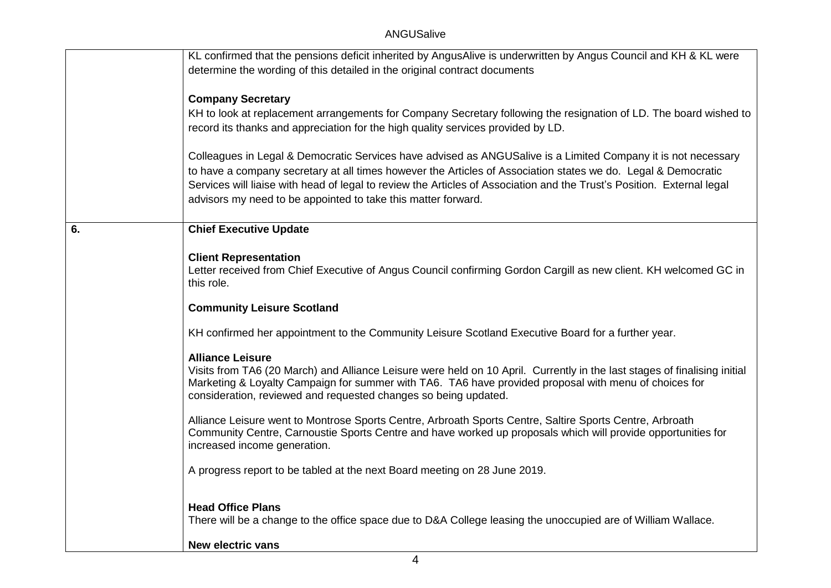|    | KL confirmed that the pensions deficit inherited by AngusAlive is underwritten by Angus Council and KH & KL were                                                                                                         |
|----|--------------------------------------------------------------------------------------------------------------------------------------------------------------------------------------------------------------------------|
|    | determine the wording of this detailed in the original contract documents                                                                                                                                                |
|    |                                                                                                                                                                                                                          |
|    | <b>Company Secretary</b>                                                                                                                                                                                                 |
|    | KH to look at replacement arrangements for Company Secretary following the resignation of LD. The board wished to                                                                                                        |
|    | record its thanks and appreciation for the high quality services provided by LD.                                                                                                                                         |
|    |                                                                                                                                                                                                                          |
|    | Colleagues in Legal & Democratic Services have advised as ANGUSalive is a Limited Company it is not necessary                                                                                                            |
|    | to have a company secretary at all times however the Articles of Association states we do. Legal & Democratic                                                                                                            |
|    | Services will liaise with head of legal to review the Articles of Association and the Trust's Position. External legal                                                                                                   |
|    | advisors my need to be appointed to take this matter forward.                                                                                                                                                            |
|    |                                                                                                                                                                                                                          |
| 6. | <b>Chief Executive Update</b>                                                                                                                                                                                            |
|    |                                                                                                                                                                                                                          |
|    | <b>Client Representation</b>                                                                                                                                                                                             |
|    | Letter received from Chief Executive of Angus Council confirming Gordon Cargill as new client. KH welcomed GC in                                                                                                         |
|    | this role.                                                                                                                                                                                                               |
|    |                                                                                                                                                                                                                          |
|    | <b>Community Leisure Scotland</b>                                                                                                                                                                                        |
|    | KH confirmed her appointment to the Community Leisure Scotland Executive Board for a further year.                                                                                                                       |
|    |                                                                                                                                                                                                                          |
|    | <b>Alliance Leisure</b>                                                                                                                                                                                                  |
|    | Visits from TA6 (20 March) and Alliance Leisure were held on 10 April. Currently in the last stages of finalising initial                                                                                                |
|    | Marketing & Loyalty Campaign for summer with TA6. TA6 have provided proposal with menu of choices for                                                                                                                    |
|    | consideration, reviewed and requested changes so being updated.                                                                                                                                                          |
|    |                                                                                                                                                                                                                          |
|    | Alliance Leisure went to Montrose Sports Centre, Arbroath Sports Centre, Saltire Sports Centre, Arbroath<br>Community Centre, Carnoustie Sports Centre and have worked up proposals which will provide opportunities for |
|    | increased income generation.                                                                                                                                                                                             |
|    |                                                                                                                                                                                                                          |
|    | A progress report to be tabled at the next Board meeting on 28 June 2019.                                                                                                                                                |
|    |                                                                                                                                                                                                                          |
|    |                                                                                                                                                                                                                          |
|    | <b>Head Office Plans</b><br>There will be a change to the office space due to D&A College leasing the unoccupied are of William Wallace.                                                                                 |
|    |                                                                                                                                                                                                                          |
|    | <b>New electric vans</b>                                                                                                                                                                                                 |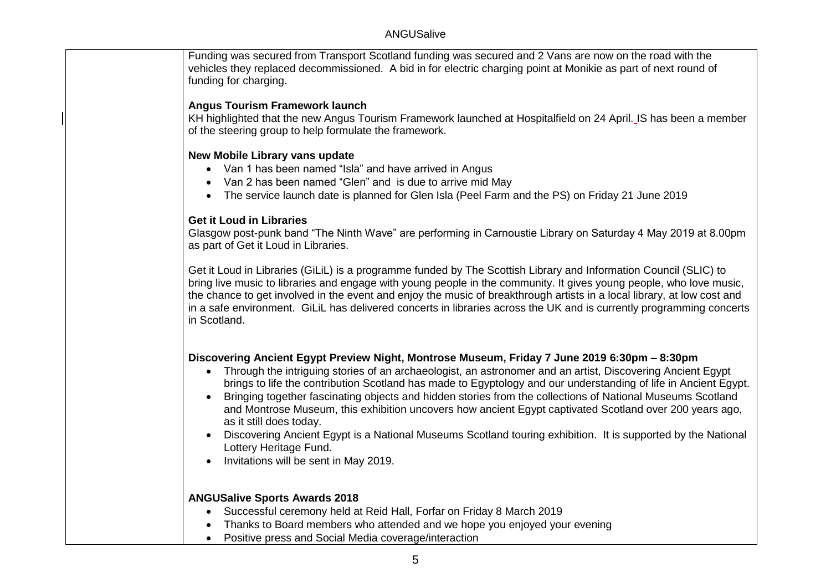Funding was secured from Transport Scotland funding was secured and 2 Vans are now on the road with the vehicles they replaced decommissioned. A bid in for electric charging point at Monikie as part of next round of funding for charging.

#### **Angus Tourism Framework launch**

KH highlighted that the new Angus Tourism Framework launched at Hospitalfield on 24 April. IS has been a member of the steering group to help formulate the framework.

#### **New Mobile Library vans update**

- Van 1 has been named "Isla" and have arrived in Angus
- Van 2 has been named "Glen" and is due to arrive mid May
- The service launch date is planned for Glen Isla (Peel Farm and the PS) on Friday 21 June 2019

#### **Get it Loud in Libraries**

Glasgow post-punk band "The Ninth Wave" are performing in Carnoustie Library on Saturday 4 May 2019 at 8.00pm as part of Get it Loud in Libraries.

Get it Loud in Libraries (GiLiL) is a programme funded by The Scottish Library and Information Council (SLIC) to bring live music to libraries and engage with young people in the community. It gives young people, who love music, the chance to get involved in the event and enjoy the music of breakthrough artists in a local library, at low cost and in a safe environment. GiLiL has delivered concerts in libraries across the UK and is currently programming concerts in Scotland.

### **Discovering Ancient Egypt Preview Night, Montrose Museum, Friday 7 June 2019 6:30pm – 8:30pm**

- Through the intriguing stories of an archaeologist, an astronomer and an artist, Discovering Ancient Egypt brings to life the contribution Scotland has made to Egyptology and our understanding of life in Ancient Egypt.
- Bringing together fascinating objects and hidden stories from the collections of National Museums Scotland and Montrose Museum, this exhibition uncovers how ancient Egypt captivated Scotland over 200 years ago, as it still does today.
- Discovering Ancient Egypt is a National Museums Scotland touring exhibition. It is supported by the National Lottery Heritage Fund.
- Invitations will be sent in May 2019.

### **ANGUSalive Sports Awards 2018**

- Successful ceremony held at Reid Hall, Forfar on Friday 8 March 2019
- Thanks to Board members who attended and we hope you enjoyed your evening
- Positive press and Social Media coverage/interaction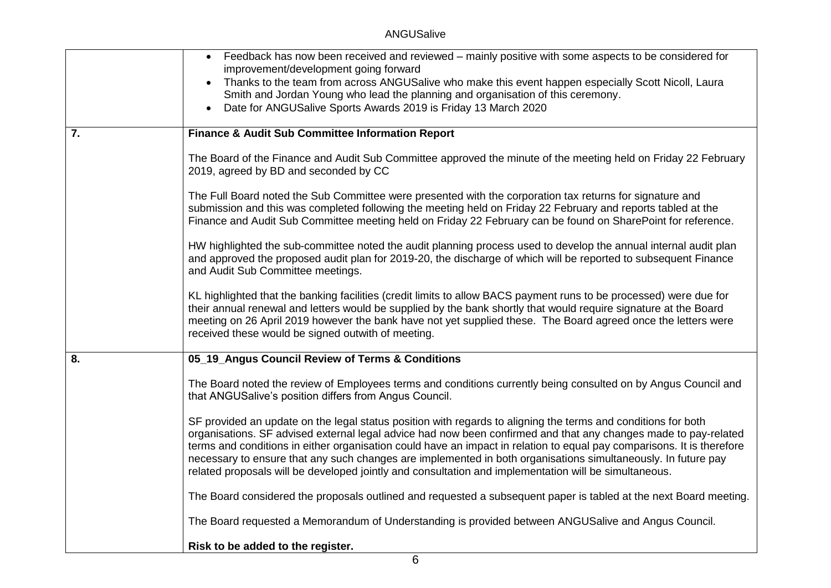|    | • Feedback has now been received and reviewed – mainly positive with some aspects to be considered for<br>improvement/development going forward<br>Thanks to the team from across ANGUSalive who make this event happen especially Scott Nicoll, Laura<br>Smith and Jordan Young who lead the planning and organisation of this ceremony.<br>Date for ANGUSalive Sports Awards 2019 is Friday 13 March 2020                                                                                                                                                                          |
|----|--------------------------------------------------------------------------------------------------------------------------------------------------------------------------------------------------------------------------------------------------------------------------------------------------------------------------------------------------------------------------------------------------------------------------------------------------------------------------------------------------------------------------------------------------------------------------------------|
| 7. | <b>Finance &amp; Audit Sub Committee Information Report</b>                                                                                                                                                                                                                                                                                                                                                                                                                                                                                                                          |
|    | The Board of the Finance and Audit Sub Committee approved the minute of the meeting held on Friday 22 February<br>2019, agreed by BD and seconded by CC                                                                                                                                                                                                                                                                                                                                                                                                                              |
|    | The Full Board noted the Sub Committee were presented with the corporation tax returns for signature and<br>submission and this was completed following the meeting held on Friday 22 February and reports tabled at the<br>Finance and Audit Sub Committee meeting held on Friday 22 February can be found on SharePoint for reference.                                                                                                                                                                                                                                             |
|    | HW highlighted the sub-committee noted the audit planning process used to develop the annual internal audit plan<br>and approved the proposed audit plan for 2019-20, the discharge of which will be reported to subsequent Finance<br>and Audit Sub Committee meetings.                                                                                                                                                                                                                                                                                                             |
|    | KL highlighted that the banking facilities (credit limits to allow BACS payment runs to be processed) were due for<br>their annual renewal and letters would be supplied by the bank shortly that would require signature at the Board<br>meeting on 26 April 2019 however the bank have not yet supplied these. The Board agreed once the letters were<br>received these would be signed outwith of meeting.                                                                                                                                                                        |
| 8. | 05_19_Angus Council Review of Terms & Conditions                                                                                                                                                                                                                                                                                                                                                                                                                                                                                                                                     |
|    | The Board noted the review of Employees terms and conditions currently being consulted on by Angus Council and<br>that ANGUSalive's position differs from Angus Council.                                                                                                                                                                                                                                                                                                                                                                                                             |
|    | SF provided an update on the legal status position with regards to aligning the terms and conditions for both<br>organisations. SF advised external legal advice had now been confirmed and that any changes made to pay-related<br>terms and conditions in either organisation could have an impact in relation to equal pay comparisons. It is therefore<br>necessary to ensure that any such changes are implemented in both organisations simultaneously. In future pay<br>related proposals will be developed jointly and consultation and implementation will be simultaneous. |
|    | The Board considered the proposals outlined and requested a subsequent paper is tabled at the next Board meeting.                                                                                                                                                                                                                                                                                                                                                                                                                                                                    |
|    | The Board requested a Memorandum of Understanding is provided between ANGUSalive and Angus Council.                                                                                                                                                                                                                                                                                                                                                                                                                                                                                  |
|    | Risk to be added to the register.                                                                                                                                                                                                                                                                                                                                                                                                                                                                                                                                                    |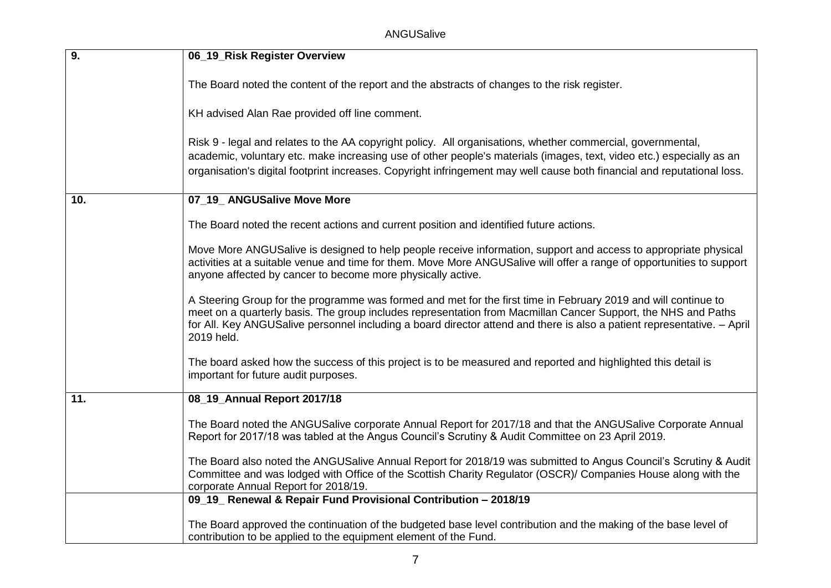ANGUSalive

| 9.  | 06_19_Risk Register Overview                                                                                                                                                                                                                                                                                                                                             |
|-----|--------------------------------------------------------------------------------------------------------------------------------------------------------------------------------------------------------------------------------------------------------------------------------------------------------------------------------------------------------------------------|
|     | The Board noted the content of the report and the abstracts of changes to the risk register.                                                                                                                                                                                                                                                                             |
|     | KH advised Alan Rae provided off line comment.                                                                                                                                                                                                                                                                                                                           |
|     | Risk 9 - legal and relates to the AA copyright policy. All organisations, whether commercial, governmental,<br>academic, voluntary etc. make increasing use of other people's materials (images, text, video etc.) especially as an<br>organisation's digital footprint increases. Copyright infringement may well cause both financial and reputational loss.           |
| 10. | 07_19_ANGUSalive Move More                                                                                                                                                                                                                                                                                                                                               |
|     | The Board noted the recent actions and current position and identified future actions.                                                                                                                                                                                                                                                                                   |
|     | Move More ANGUSalive is designed to help people receive information, support and access to appropriate physical<br>activities at a suitable venue and time for them. Move More ANGUSalive will offer a range of opportunities to support<br>anyone affected by cancer to become more physically active.                                                                  |
|     | A Steering Group for the programme was formed and met for the first time in February 2019 and will continue to<br>meet on a quarterly basis. The group includes representation from Macmillan Cancer Support, the NHS and Paths<br>for All. Key ANGUSalive personnel including a board director attend and there is also a patient representative. - April<br>2019 held. |
|     | The board asked how the success of this project is to be measured and reported and highlighted this detail is<br>important for future audit purposes.                                                                                                                                                                                                                    |
| 11. | 08_19_Annual Report 2017/18                                                                                                                                                                                                                                                                                                                                              |
|     | The Board noted the ANGUSalive corporate Annual Report for 2017/18 and that the ANGUSalive Corporate Annual<br>Report for 2017/18 was tabled at the Angus Council's Scrutiny & Audit Committee on 23 April 2019.                                                                                                                                                         |
|     | The Board also noted the ANGUSalive Annual Report for 2018/19 was submitted to Angus Council's Scrutiny & Audit<br>Committee and was lodged with Office of the Scottish Charity Regulator (OSCR)/ Companies House along with the<br>corporate Annual Report for 2018/19.                                                                                                 |
|     | 09_19_ Renewal & Repair Fund Provisional Contribution - 2018/19                                                                                                                                                                                                                                                                                                          |
|     | The Board approved the continuation of the budgeted base level contribution and the making of the base level of<br>contribution to be applied to the equipment element of the Fund.                                                                                                                                                                                      |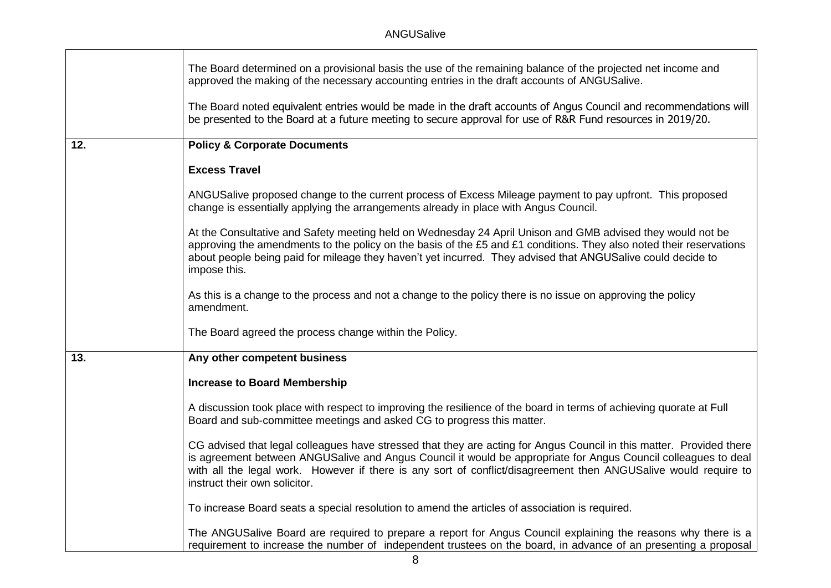|     | The Board determined on a provisional basis the use of the remaining balance of the projected net income and<br>approved the making of the necessary accounting entries in the draft accounts of ANGUSalive.                                                                                                                                                                               |
|-----|--------------------------------------------------------------------------------------------------------------------------------------------------------------------------------------------------------------------------------------------------------------------------------------------------------------------------------------------------------------------------------------------|
|     | The Board noted equivalent entries would be made in the draft accounts of Angus Council and recommendations will<br>be presented to the Board at a future meeting to secure approval for use of R&R Fund resources in 2019/20.                                                                                                                                                             |
| 12. | <b>Policy &amp; Corporate Documents</b>                                                                                                                                                                                                                                                                                                                                                    |
|     | <b>Excess Travel</b>                                                                                                                                                                                                                                                                                                                                                                       |
|     | ANGUSalive proposed change to the current process of Excess Mileage payment to pay upfront. This proposed<br>change is essentially applying the arrangements already in place with Angus Council.                                                                                                                                                                                          |
|     | At the Consultative and Safety meeting held on Wednesday 24 April Unison and GMB advised they would not be<br>approving the amendments to the policy on the basis of the £5 and £1 conditions. They also noted their reservations<br>about people being paid for mileage they haven't yet incurred. They advised that ANGUSalive could decide to<br>impose this.                           |
|     | As this is a change to the process and not a change to the policy there is no issue on approving the policy<br>amendment.                                                                                                                                                                                                                                                                  |
|     | The Board agreed the process change within the Policy.                                                                                                                                                                                                                                                                                                                                     |
| 13. | Any other competent business                                                                                                                                                                                                                                                                                                                                                               |
|     | <b>Increase to Board Membership</b>                                                                                                                                                                                                                                                                                                                                                        |
|     | A discussion took place with respect to improving the resilience of the board in terms of achieving quorate at Full<br>Board and sub-committee meetings and asked CG to progress this matter.                                                                                                                                                                                              |
|     | CG advised that legal colleagues have stressed that they are acting for Angus Council in this matter. Provided there<br>is agreement between ANGUSalive and Angus Council it would be appropriate for Angus Council colleagues to deal<br>with all the legal work. However if there is any sort of conflict/disagreement then ANGUSalive would require to<br>instruct their own solicitor. |
|     | To increase Board seats a special resolution to amend the articles of association is required.                                                                                                                                                                                                                                                                                             |
|     | The ANGUSalive Board are required to prepare a report for Angus Council explaining the reasons why there is a<br>requirement to increase the number of independent trustees on the board, in advance of an presenting a proposal                                                                                                                                                           |